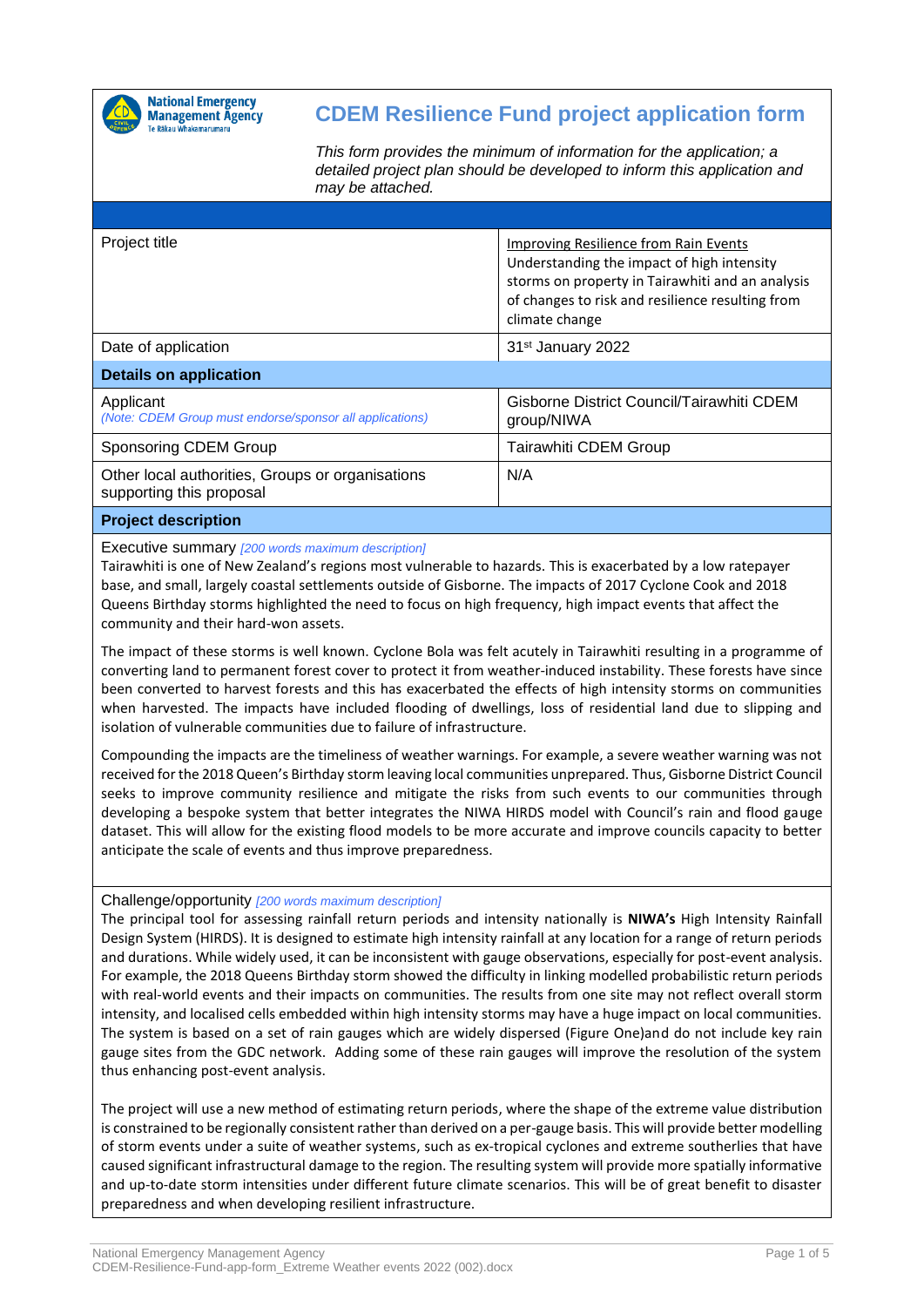

## **CDEM Resilience Fund project application form**

*This form provides the minimum of information for the application; a detailed project plan should be developed to inform this application and may be attached.*

| Project title                                                                | Improving Resilience from Rain Events<br>Understanding the impact of high intensity<br>storms on property in Tairawhiti and an analysis<br>of changes to risk and resilience resulting from<br>climate change |
|------------------------------------------------------------------------------|---------------------------------------------------------------------------------------------------------------------------------------------------------------------------------------------------------------|
| Date of application                                                          | 31 <sup>st</sup> January 2022                                                                                                                                                                                 |
| <b>Details on application</b>                                                |                                                                                                                                                                                                               |
| Applicant<br>(Note: CDEM Group must endorse/sponsor all applications)        | Gisborne District Council/Tairawhiti CDEM<br>group/NIWA                                                                                                                                                       |
| <b>Sponsoring CDEM Group</b>                                                 | Tairawhiti CDEM Group                                                                                                                                                                                         |
| Other local authorities, Groups or organisations<br>supporting this proposal | N/A                                                                                                                                                                                                           |
| <b>Project description</b>                                                   |                                                                                                                                                                                                               |

Executive summary *[200 words maximum description]*

Tairawhiti is one of New Zealand's regions most vulnerable to hazards. This is exacerbated by a low ratepayer base, and small, largely coastal settlements outside of Gisborne. The impacts of 2017 Cyclone Cook and 2018 Queens Birthday storms highlighted the need to focus on high frequency, high impact events that affect the community and their hard-won assets.

The impact of these storms is well known. Cyclone Bola was felt acutely in Tairawhiti resulting in a programme of converting land to permanent forest cover to protect it from weather-induced instability. These forests have since been converted to harvest forests and this has exacerbated the effects of high intensity storms on communities when harvested. The impacts have included flooding of dwellings, loss of residential land due to slipping and isolation of vulnerable communities due to failure of infrastructure.

Compounding the impacts are the timeliness of weather warnings. For example, a severe weather warning was not received for the 2018 Queen's Birthday storm leaving local communities unprepared. Thus, Gisborne District Council seeks to improve community resilience and mitigate the risks from such events to our communities through developing a bespoke system that better integrates the NIWA HIRDS model with Council's rain and flood gauge dataset. This will allow for the existing flood models to be more accurate and improve councils capacity to better anticipate the scale of events and thus improve preparedness.

## Challenge/opportunity *[200 words maximum description]*

The principal tool for assessing rainfall return periods and intensity nationally is **NIWA's** High Intensity Rainfall Design System (HIRDS). It is designed to estimate high intensity rainfall at any location for a range of return periods and durations. While widely used, it can be inconsistent with gauge observations, especially for post-event analysis. For example, the 2018 Queens Birthday storm showed the difficulty in linking modelled probabilistic return periods with real-world events and their impacts on communities. The results from one site may not reflect overall storm intensity, and localised cells embedded within high intensity storms may have a huge impact on local communities. The system is based on a set of rain gauges which are widely dispersed (Figure One)and do not include key rain gauge sites from the GDC network. Adding some of these rain gauges will improve the resolution of the system thus enhancing post-event analysis.

The project will use a new method of estimating return periods, where the shape of the extreme value distribution is constrained to be regionally consistent rather than derived on a per-gauge basis. This will provide better modelling of storm events under a suite of weather systems, such as ex-tropical cyclones and extreme southerlies that have caused significant infrastructural damage to the region. The resulting system will provide more spatially informative and up-to-date storm intensities under different future climate scenarios. This will be of great benefit to disaster preparedness and when developing resilient infrastructure.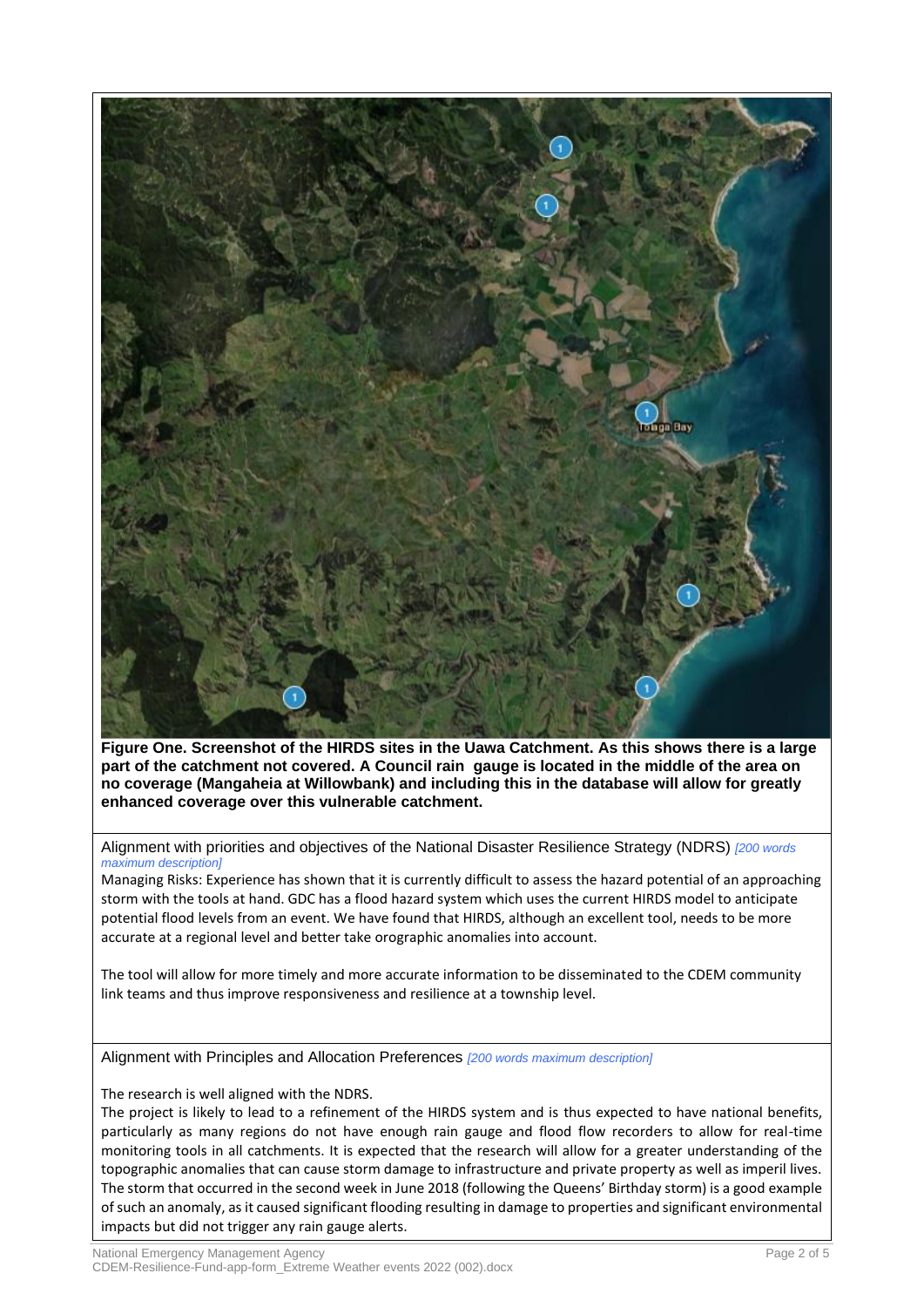

**Figure One. Screenshot of the HIRDS sites in the Uawa Catchment. As this shows there is a large part of the catchment not covered. A Council rain gauge is located in the middle of the area on no coverage (Mangaheia at Willowbank) and including this in the database will allow for greatly enhanced coverage over this vulnerable catchment.**

Alignment with priorities and objectives of the National Disaster Resilience Strategy (NDRS) *[200 words maximum description]*

Managing Risks: Experience has shown that it is currently difficult to assess the hazard potential of an approaching storm with the tools at hand. GDC has a flood hazard system which uses the current HIRDS model to anticipate potential flood levels from an event. We have found that HIRDS, although an excellent tool, needs to be more accurate at a regional level and better take orographic anomalies into account.

The tool will allow for more timely and more accurate information to be disseminated to the CDEM community link teams and thus improve responsiveness and resilience at a township level.

Alignment with Principles and Allocation Preferences *[200 words maximum description]*

The research is well aligned with the NDRS.

The project is likely to lead to a refinement of the HIRDS system and is thus expected to have national benefits, particularly as many regions do not have enough rain gauge and flood flow recorders to allow for real-time monitoring tools in all catchments. It is expected that the research will allow for a greater understanding of the topographic anomalies that can cause storm damage to infrastructure and private property as well as imperil lives. The storm that occurred in the second week in June 2018 (following the Queens' Birthday storm) is a good example of such an anomaly, as it caused significant flooding resulting in damage to properties and significant environmental impacts but did not trigger any rain gauge alerts.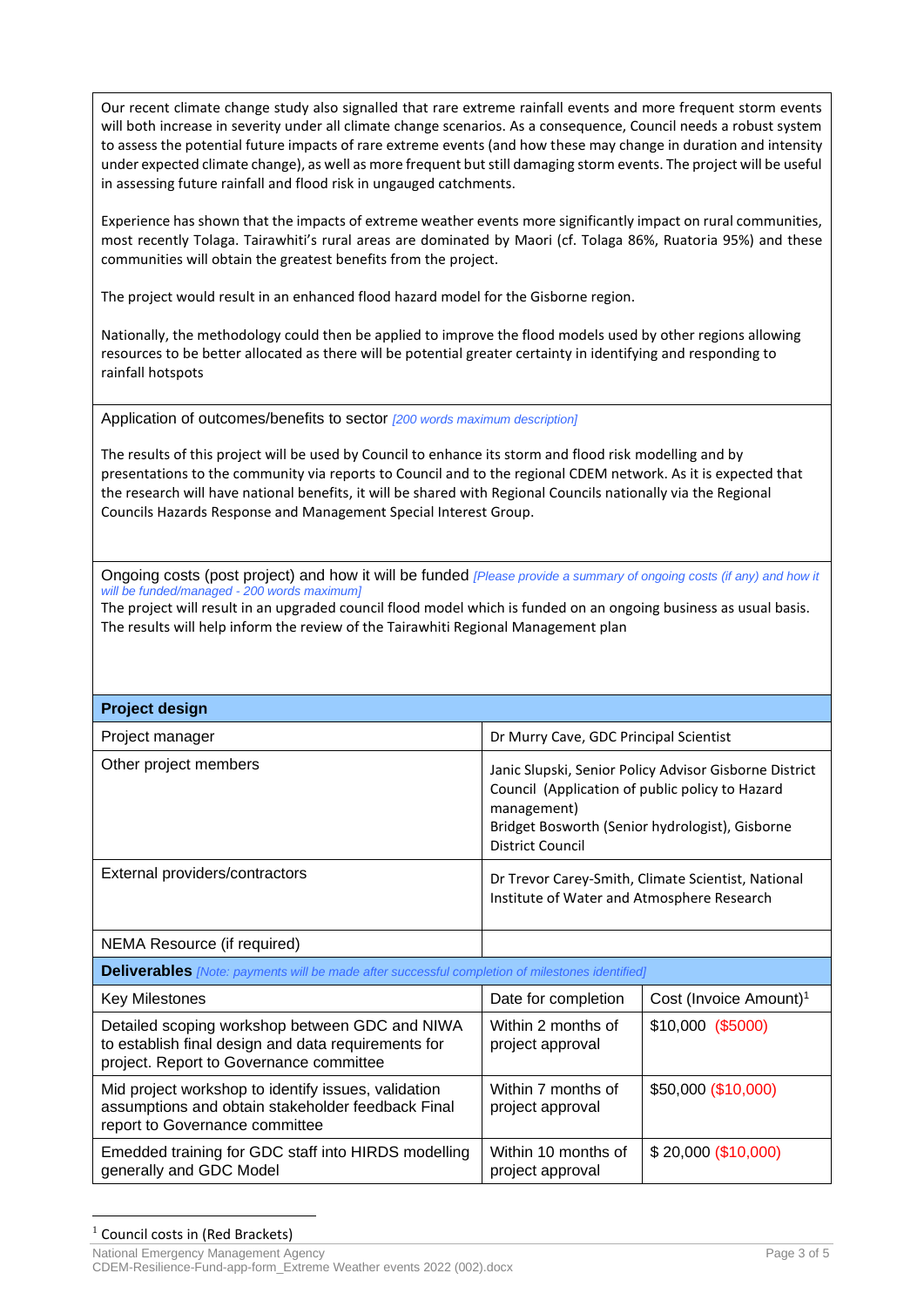Our recent climate change study also signalled that rare extreme rainfall events and more frequent storm events will both increase in severity under all climate change scenarios. As a consequence, Council needs a robust system to assess the potential future impacts of rare extreme events (and how these may change in duration and intensity under expected climate change), as well as more frequent but still damaging storm events. The project will be useful in assessing future rainfall and flood risk in ungauged catchments.

Experience has shown that the impacts of extreme weather events more significantly impact on rural communities, most recently Tolaga. Tairawhiti's rural areas are dominated by Maori (cf. Tolaga 86%, Ruatoria 95%) and these communities will obtain the greatest benefits from the project.

The project would result in an enhanced flood hazard model for the Gisborne region.

Nationally, the methodology could then be applied to improve the flood models used by other regions allowing resources to be better allocated as there will be potential greater certainty in identifying and responding to rainfall hotspots

Application of outcomes/benefits to sector *[200 words maximum description]*

The results of this project will be used by Council to enhance its storm and flood risk modelling and by presentations to the community via reports to Council and to the regional CDEM network. As it is expected that the research will have national benefits, it will be shared with Regional Councils nationally via the Regional Councils Hazards Response and Management Special Interest Group.

Ongoing costs (post project) and how it will be funded *[Please provide a summary of ongoing costs (if any) and how it will be funded/managed - 200 words maximum]*

The project will result in an upgraded council flood model which is funded on an ongoing business as usual basis. The results will help inform the review of the Tairawhiti Regional Management plan

| <b>Project design</b>                                                                                                                            |                                                                                                                                                                                                        |                                    |  |  |
|--------------------------------------------------------------------------------------------------------------------------------------------------|--------------------------------------------------------------------------------------------------------------------------------------------------------------------------------------------------------|------------------------------------|--|--|
| Project manager                                                                                                                                  | Dr Murry Cave, GDC Principal Scientist                                                                                                                                                                 |                                    |  |  |
| Other project members                                                                                                                            | Janic Slupski, Senior Policy Advisor Gisborne District<br>Council (Application of public policy to Hazard<br>management)<br>Bridget Bosworth (Senior hydrologist), Gisborne<br><b>District Council</b> |                                    |  |  |
| External providers/contractors                                                                                                                   | Dr Trevor Carey-Smith, Climate Scientist, National<br>Institute of Water and Atmosphere Research                                                                                                       |                                    |  |  |
| NEMA Resource (if required)                                                                                                                      |                                                                                                                                                                                                        |                                    |  |  |
| <b>Deliverables</b> [Note: payments will be made after successful completion of milestones identified]                                           |                                                                                                                                                                                                        |                                    |  |  |
| Key Milestones                                                                                                                                   | Date for completion                                                                                                                                                                                    | Cost (Invoice Amount) <sup>1</sup> |  |  |
| Detailed scoping workshop between GDC and NIWA<br>to establish final design and data requirements for<br>project. Report to Governance committee | Within 2 months of<br>project approval                                                                                                                                                                 | $$10,000$ (\$5000)                 |  |  |
| Mid project workshop to identify issues, validation<br>assumptions and obtain stakeholder feedback Final<br>report to Governance committee       | Within 7 months of<br>project approval                                                                                                                                                                 | \$50,000 (\$10,000)                |  |  |
| Emedded training for GDC staff into HIRDS modelling<br>generally and GDC Model                                                                   | Within 10 months of<br>project approval                                                                                                                                                                | \$20,000 (\$10,000)                |  |  |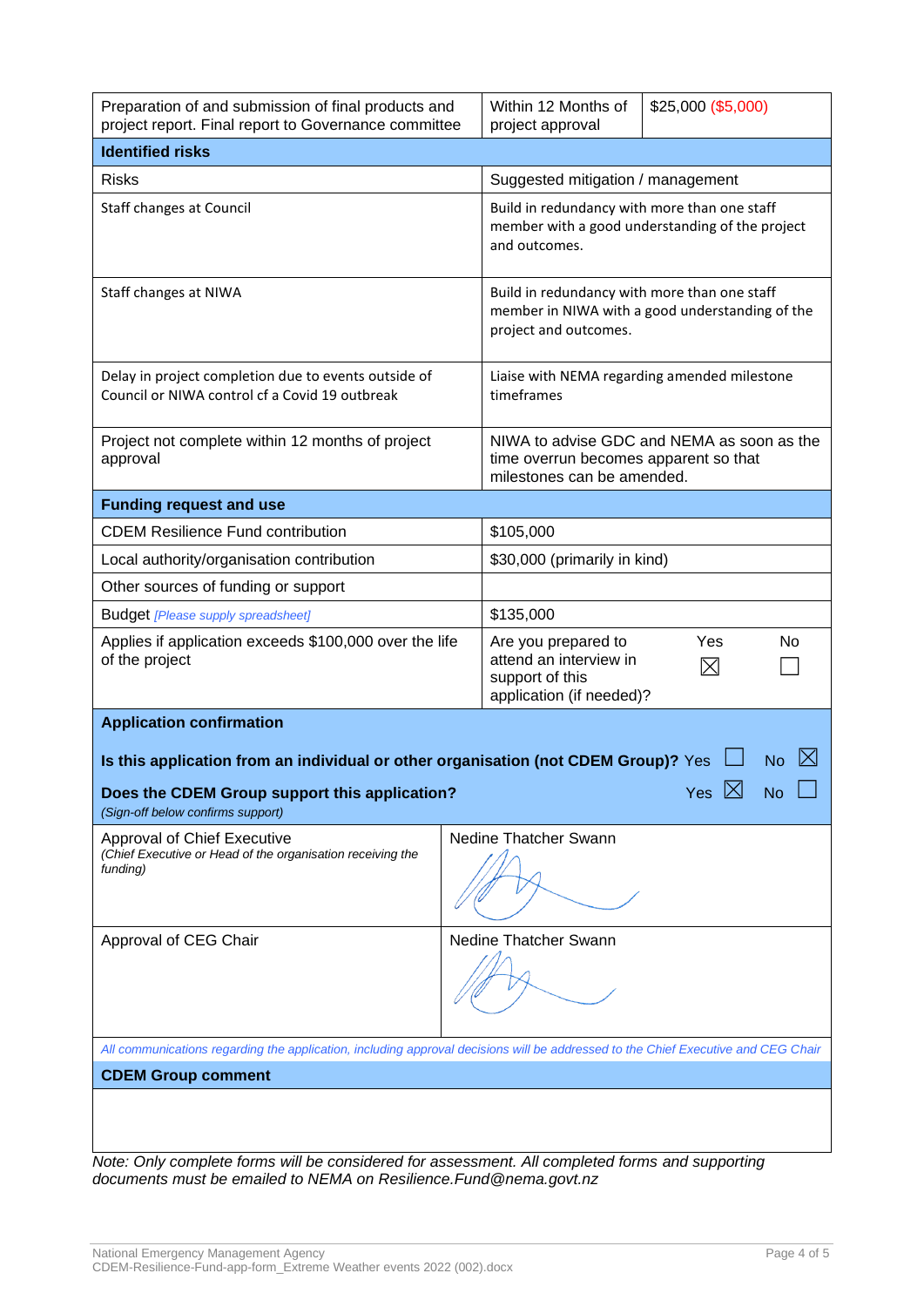| Preparation of and submission of final products and<br>project report. Final report to Governance committee                                                                                        |  | Within 12 Months of<br>\$25,000 (\$5,000)<br>project approval                                                            |                          |  |
|----------------------------------------------------------------------------------------------------------------------------------------------------------------------------------------------------|--|--------------------------------------------------------------------------------------------------------------------------|--------------------------|--|
| <b>Identified risks</b>                                                                                                                                                                            |  |                                                                                                                          |                          |  |
| <b>Risks</b>                                                                                                                                                                                       |  | Suggested mitigation / management                                                                                        |                          |  |
| Staff changes at Council                                                                                                                                                                           |  | Build in redundancy with more than one staff<br>member with a good understanding of the project<br>and outcomes.         |                          |  |
| Staff changes at NIWA                                                                                                                                                                              |  | Build in redundancy with more than one staff<br>member in NIWA with a good understanding of the<br>project and outcomes. |                          |  |
| Delay in project completion due to events outside of<br>Council or NIWA control cf a Covid 19 outbreak                                                                                             |  | Liaise with NEMA regarding amended milestone<br>timeframes                                                               |                          |  |
| Project not complete within 12 months of project<br>approval                                                                                                                                       |  | NIWA to advise GDC and NEMA as soon as the<br>time overrun becomes apparent so that<br>milestones can be amended.        |                          |  |
| <b>Funding request and use</b>                                                                                                                                                                     |  |                                                                                                                          |                          |  |
| <b>CDEM Resilience Fund contribution</b>                                                                                                                                                           |  | \$105,000                                                                                                                |                          |  |
| Local authority/organisation contribution                                                                                                                                                          |  | \$30,000 (primarily in kind)                                                                                             |                          |  |
| Other sources of funding or support                                                                                                                                                                |  |                                                                                                                          |                          |  |
| <b>Budget [Please supply spreadsheet]</b>                                                                                                                                                          |  | \$135,000                                                                                                                |                          |  |
| Applies if application exceeds \$100,000 over the life<br>of the project                                                                                                                           |  | Are you prepared to<br>attend an interview in<br>support of this<br>application (if needed)?                             | Yes<br>No<br>$\boxtimes$ |  |
| <b>Application confirmation</b>                                                                                                                                                                    |  |                                                                                                                          |                          |  |
| Is this application from an individual or other organisation (not CDEM Group)? Yes<br>No<br><b>No</b><br>Does the CDEM Group support this application?<br>Yes<br>(Sign-off below confirms support) |  |                                                                                                                          |                          |  |
| <b>Approval of Chief Executive</b><br>(Chief Executive or Head of the organisation receiving the<br>funding)                                                                                       |  | Nedine Thatcher Swann                                                                                                    |                          |  |
| Approval of CEG Chair                                                                                                                                                                              |  | Nedine Thatcher Swann                                                                                                    |                          |  |
| All communications regarding the application, including approval decisions will be addressed to the Chief Executive and CEG Chair                                                                  |  |                                                                                                                          |                          |  |
| <b>CDEM Group comment</b>                                                                                                                                                                          |  |                                                                                                                          |                          |  |
|                                                                                                                                                                                                    |  |                                                                                                                          |                          |  |
|                                                                                                                                                                                                    |  |                                                                                                                          |                          |  |

*Note: Only complete forms will be considered for assessment. All completed forms and supporting documents must be emailed to NEMA on [Resilience.Fund@nema.govt.nz](mailto:Resilience.Fund@nema.govt.nz)*